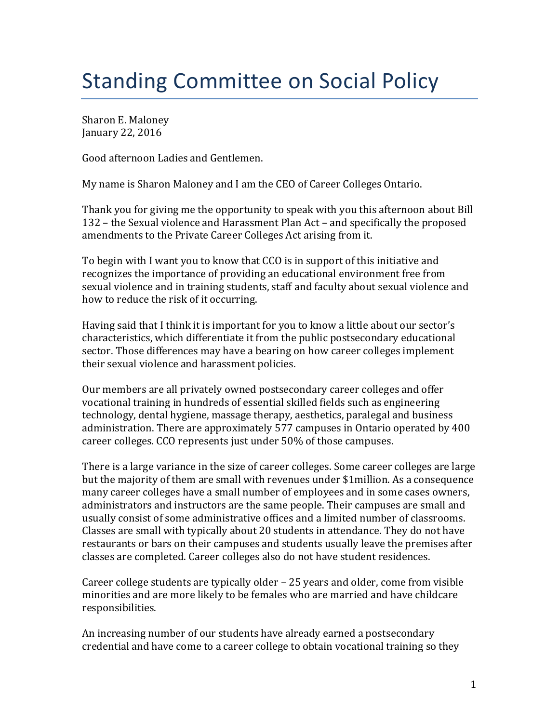## Standing Committee on Social Policy

Sharon E. Maloney January 22, 2016

Good afternoon Ladies and Gentlemen.

My name is Sharon Maloney and I am the CEO of Career Colleges Ontario.

Thank you for giving me the opportunity to speak with you this afternoon about Bill 132 – the Sexual violence and Harassment Plan Act – and specifically the proposed amendments to the Private Career Colleges Act arising from it.

To begin with I want you to know that CCO is in support of this initiative and recognizes the importance of providing an educational environment free from sexual violence and in training students, staff and faculty about sexual violence and how to reduce the risk of it occurring.

Having said that I think it is important for you to know a little about our sector's characteristics, which differentiate it from the public postsecondary educational sector. Those differences may have a bearing on how career colleges implement their sexual violence and harassment policies.

Our members are all privately owned postsecondary career colleges and offer vocational training in hundreds of essential skilled fields such as engineering technology, dental hygiene, massage therapy, aesthetics, paralegal and business administration. There are approximately 577 campuses in Ontario operated by 400 career colleges. CCO represents just under 50% of those campuses.

There is a large variance in the size of career colleges. Some career colleges are large but the majority of them are small with revenues under \$1million. As a consequence many career colleges have a small number of employees and in some cases owners, administrators and instructors are the same people. Their campuses are small and usually consist of some administrative offices and a limited number of classrooms. Classes are small with typically about 20 students in attendance. They do not have restaurants or bars on their campuses and students usually leave the premises after classes are completed. Career colleges also do not have student residences.

Career college students are typically older – 25 years and older, come from visible minorities and are more likely to be females who are married and have childcare responsibilities.

An increasing number of our students have already earned a postsecondary credential and have come to a career college to obtain vocational training so they